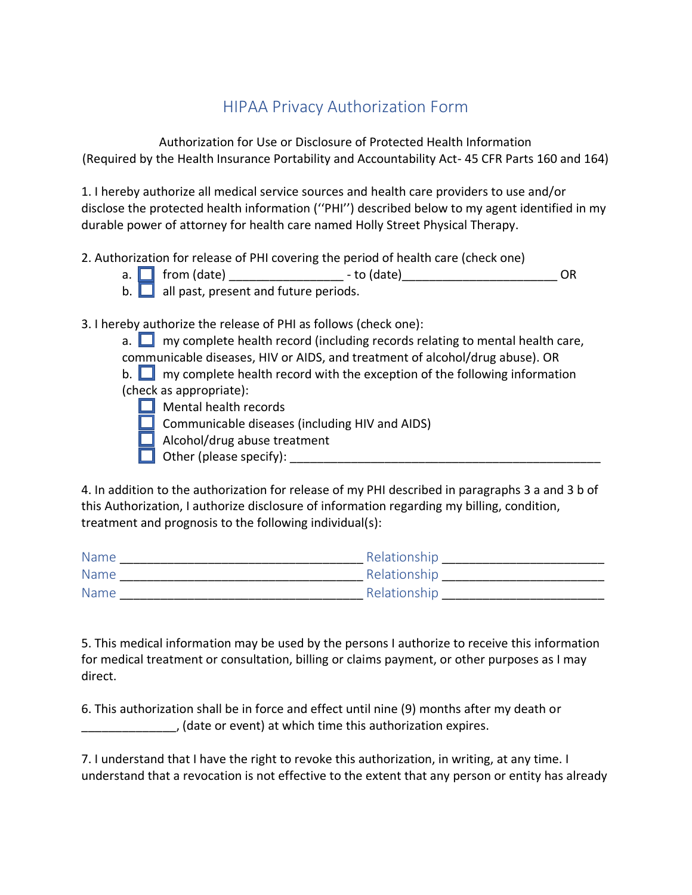## HIPAA Privacy Authorization Form

Authorization for Use or Disclosure of Protected Health Information (Required by the Health Insurance Portability and Accountability Act- 45 CFR Parts 160 and 164)

1. I hereby authorize all medical service sources and health care providers to use and/or disclose the protected health information (''PHI'') described below to my agent identified in my durable power of attorney for health care named Holly Street Physical Therapy.

- 2. Authorization for release of PHI covering the period of health care (check one)
	- a. **f**rom (date) \_\_\_\_\_\_\_\_\_\_\_\_\_\_\_\_ to (date) \_\_\_\_\_\_\_\_\_\_\_\_\_\_\_\_\_\_\_\_\_\_\_\_\_OR
	- b.  $\Box$  all past, present and future periods.
- 3. I hereby authorize the release of PHI as follows (check one):
	- a.  $\Box$  my complete health record (including records relating to mental health care, communicable diseases, HIV or AIDS, and treatment of alcohol/drug abuse). OR
	- b.  $\Box$  my complete health record with the exception of the following information (check as appropriate):
		- $\Box$  Mental health records
		- $\Box$  Communicable diseases (including HIV and AIDS)
		- **Alcohol/drug abuse treatment**
		- Other (please specify): \_\_\_\_\_\_\_\_\_\_\_\_\_\_\_\_\_\_\_\_\_\_\_\_\_\_\_\_\_\_\_\_\_\_\_\_\_\_\_\_\_\_\_\_\_\_ V

4. In addition to the authorization for release of my PHI described in paragraphs 3 a and 3 b of this Authorization, I authorize disclosure of information regarding my billing, condition, treatment and prognosis to the following individual(s):

| Name        | Relationship |
|-------------|--------------|
| <b>Name</b> | Relationship |
| <b>Name</b> | Relationship |

5. This medical information may be used by the persons I authorize to receive this information for medical treatment or consultation, billing or claims payment, or other purposes as I may direct.

6. This authorization shall be in force and effect until nine (9) months after my death or \_\_\_\_\_\_\_\_\_\_\_\_\_\_, (date or event) at which time this authorization expires.

7. I understand that I have the right to revoke this authorization, in writing, at any time. I understand that a revocation is not effective to the extent that any person or entity has already